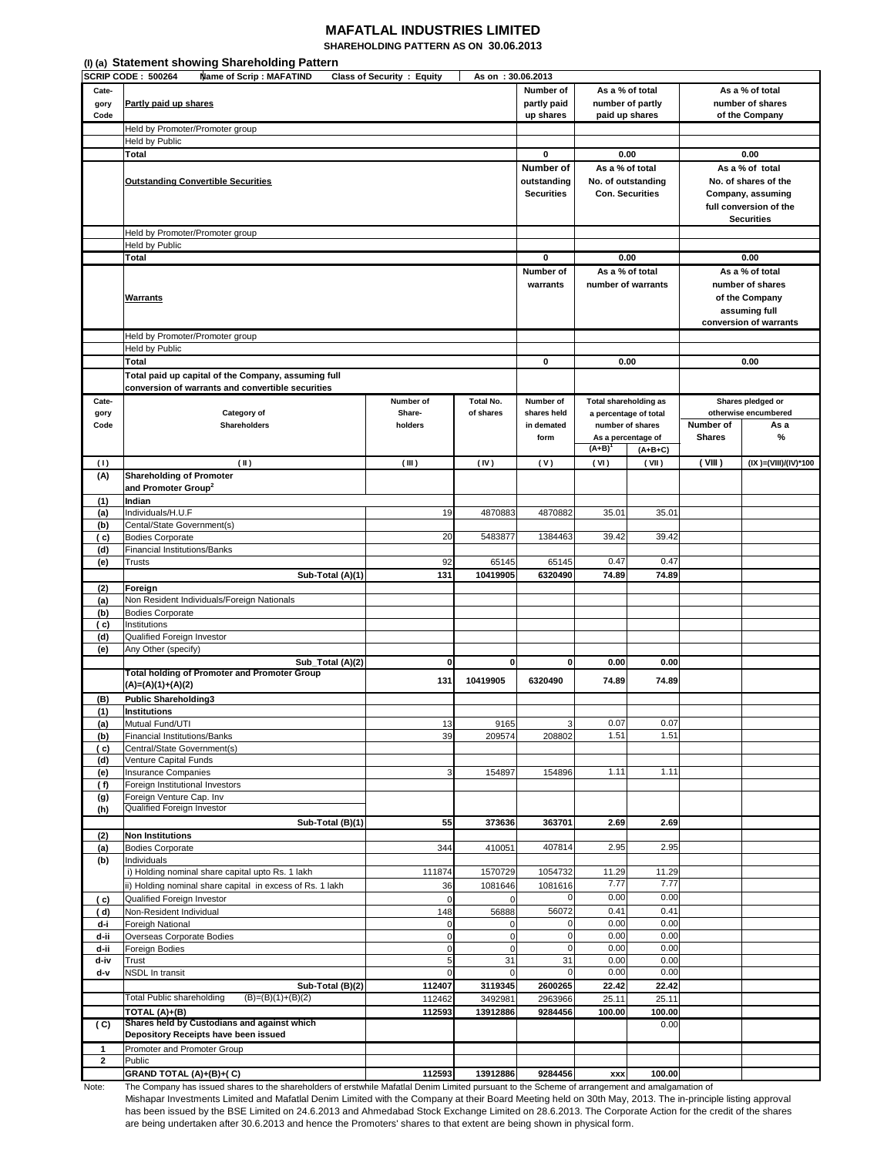## **MAFATLAL INDUSTRIES LIMITED SHAREHOLDING PATTERN AS ON 30.06.2013**

|              | (I) (a) Statement showing Shareholding Pattern            |                                   |                   |                   |                       |                        |                  |                        |
|--------------|-----------------------------------------------------------|-----------------------------------|-------------------|-------------------|-----------------------|------------------------|------------------|------------------------|
|              | <b>SCRIP CODE: 500264</b><br>Name of Scrip: MAFATIND      | <b>Class of Security : Equity</b> | As on: 30.06.2013 |                   |                       |                        |                  |                        |
| Cate-        |                                                           |                                   |                   | Number of         | As a % of total       |                        | As a % of total  |                        |
| gory         | Partly paid up shares                                     |                                   |                   | partly paid       |                       | number of partly       | number of shares |                        |
| Code         |                                                           |                                   |                   | up shares         |                       | paid up shares         |                  | of the Company         |
|              | Held by Promoter/Promoter group                           |                                   |                   |                   |                       |                        |                  |                        |
|              | <b>Held by Public</b>                                     |                                   |                   |                   |                       |                        |                  |                        |
|              | Total                                                     |                                   |                   | 0                 |                       | 0.00                   |                  | 0.00                   |
|              |                                                           |                                   |                   | Number of         | As a % of total       |                        |                  | As a % of total        |
|              | <b>Outstanding Convertible Securities</b>                 |                                   |                   | outstanding       |                       | No. of outstanding     |                  | No. of shares of the   |
|              |                                                           |                                   |                   | <b>Securities</b> |                       | <b>Con. Securities</b> |                  | Company, assuming      |
|              |                                                           |                                   |                   |                   |                       |                        |                  | full conversion of the |
|              |                                                           |                                   |                   |                   |                       |                        |                  | <b>Securities</b>      |
|              | Held by Promoter/Promoter group                           |                                   |                   |                   |                       |                        |                  |                        |
|              | Held by Public                                            |                                   |                   |                   |                       |                        |                  |                        |
|              | <b>Total</b>                                              |                                   |                   | 0                 | 0.00                  |                        |                  | 0.00                   |
|              |                                                           |                                   |                   |                   |                       |                        |                  |                        |
|              |                                                           |                                   |                   | Number of         |                       | As a % of total        |                  | As a % of total        |
|              |                                                           |                                   |                   | warrants          |                       | number of warrants     |                  | number of shares       |
|              | <b>Warrants</b>                                           |                                   |                   |                   |                       |                        |                  | of the Company         |
|              |                                                           |                                   |                   |                   |                       |                        |                  | assuming full          |
|              |                                                           |                                   |                   |                   |                       |                        |                  | conversion of warrants |
|              | Held by Promoter/Promoter group                           |                                   |                   |                   |                       |                        |                  |                        |
|              | Held by Public                                            |                                   |                   |                   |                       |                        |                  |                        |
|              | Total                                                     |                                   |                   | 0                 |                       | 0.00                   |                  | 0.00                   |
|              | Total paid up capital of the Company, assuming full       |                                   |                   |                   |                       |                        |                  |                        |
|              | conversion of warrants and convertible securities         |                                   |                   |                   |                       |                        |                  |                        |
| Cate-        |                                                           | Number of                         | Total No.         | Number of         | Total shareholding as |                        |                  | Shares pledged or      |
| gory         | Category of                                               | Share-                            | of shares         | shares held       |                       | a percentage of total  |                  | otherwise encumbered   |
| Code         | <b>Shareholders</b>                                       | holders                           |                   | in demated        |                       | number of shares       | Number of        | As a                   |
|              |                                                           |                                   |                   | form              |                       | As a percentage of     | <b>Shares</b>    | $\%$                   |
|              |                                                           |                                   |                   |                   | $(A+B)$               | $(A+B+C)$              |                  |                        |
| (1)          | (II)                                                      | (III)                             | (IV)              | (V)               | (VI)                  | (VII)                  | (VIII)           | (IX )=(VIII)/(IV)*100  |
| (A)          | <b>Shareholding of Promoter</b>                           |                                   |                   |                   |                       |                        |                  |                        |
|              | and Promoter Group <sup>2</sup>                           |                                   |                   |                   |                       |                        |                  |                        |
| (1)          | Indian                                                    |                                   |                   |                   |                       |                        |                  |                        |
| (a)          | Individuals/H.U.F                                         | 19                                | 4870883           | 4870882           | 35.01                 | 35.01                  |                  |                        |
| (b)          | Cental/State Government(s)                                |                                   |                   |                   |                       |                        |                  |                        |
| ( c)         | <b>Bodies Corporate</b>                                   | 20                                | 5483877           | 1384463           | 39.42                 | 39.42                  |                  |                        |
| (d)          | <b>Financial Institutions/Banks</b>                       |                                   |                   |                   |                       |                        |                  |                        |
| (e)          | Trusts                                                    | 92                                | 65145             | 65145             | 0.47                  | 0.47                   |                  |                        |
|              | Sub-Total (A)(1)                                          | 131                               | 10419905          | 6320490           | 74.89                 | 74.89                  |                  |                        |
| (2)          | Foreign                                                   |                                   |                   |                   |                       |                        |                  |                        |
| (a)          | Non Resident Individuals/Foreign Nationals                |                                   |                   |                   |                       |                        |                  |                        |
| (b)          | <b>Bodies Corporate</b>                                   |                                   |                   |                   |                       |                        |                  |                        |
| ( c)         | Institutions                                              |                                   |                   |                   |                       |                        |                  |                        |
| (d)          | Qualified Foreign Investor                                |                                   |                   |                   |                       |                        |                  |                        |
| (e)          | Any Other (specify)                                       |                                   |                   |                   |                       |                        |                  |                        |
|              | Sub_Total (A)(2)                                          | $\bf{0}$                          | $\mathbf{0}$      | $\mathbf{0}$      | 0.00                  | 0.00                   |                  |                        |
|              | <b>Total holding of Promoter and Promoter Group</b>       |                                   |                   | 6320490           |                       |                        |                  |                        |
|              | (A)=(A)(1)+(A)(2)                                         | 131                               | 10419905          |                   | 74.89                 | 74.89                  |                  |                        |
| (B)          | <b>Public Shareholding3</b>                               |                                   |                   |                   |                       |                        |                  |                        |
| (1)          | Institutions                                              |                                   |                   |                   |                       |                        |                  |                        |
| (a)          | Mutual Fund/UTI                                           | 13                                | 9165              |                   | 0.07                  | 0.07                   |                  |                        |
| (b)          | <b>Financial Institutions/Banks</b>                       | 39                                | 209574            | 208802            | 1.51                  | 1.51                   |                  |                        |
| ( c)         | Central/State Government(s)                               |                                   |                   |                   |                       |                        |                  |                        |
| (d)          | Venture Capital Funds                                     |                                   |                   |                   |                       |                        |                  |                        |
| (e)          | Insurance Companies                                       | 3                                 | 154897            | 154896            | 1.11                  | 1.11                   |                  |                        |
| (f)          | Foreign Institutional Investors                           |                                   |                   |                   |                       |                        |                  |                        |
| (g)          | Foreign Venture Cap. Inv                                  |                                   |                   |                   |                       |                        |                  |                        |
| (h)          | Qualified Foreign Investor                                |                                   |                   |                   |                       |                        |                  |                        |
|              | Sub-Total (B)(1)                                          | 55                                | 373636            | 363701            | 2.69                  | 2.69                   |                  |                        |
| (2)          | <b>Non Institutions</b>                                   |                                   |                   |                   |                       |                        |                  |                        |
| (a)          | <b>Bodies Corporate</b>                                   | 344                               | 410051            | 407814            | 2.95                  | 2.95                   |                  |                        |
| (b)          | Individuals                                               |                                   |                   |                   |                       |                        |                  |                        |
|              | i) Holding nominal share capital upto Rs. 1 lakh          | 111874                            | 1570729           | 1054732           | 11.29                 | 11.29                  |                  |                        |
|              | ii) Holding nominal share capital in excess of Rs. 1 lakh | 36                                | 1081646           | 1081616           | 7.77                  | 7.77                   |                  |                        |
| ( c)         | Qualified Foreign Investor                                | $\mathbf 0$                       | $\mathbf 0$       |                   | 0.00                  | 0.00                   |                  |                        |
| ( d)         | Non-Resident Individual                                   | 148                               | 56888             | 56072             | 0.41                  | 0.41                   |                  |                        |
| d-i          | Foreigh National                                          | $\mathbf 0$                       | $\mathbf 0$       | $\Omega$          | 0.00                  | 0.00                   |                  |                        |
| d-ii         | Overseas Corporate Bodies                                 | $\pmb{0}$                         | $\pmb{0}$         | 0                 | 0.00                  | 0.00                   |                  |                        |
| d-ii         | Foreign Bodies                                            | $\mathbf 0$                       | $\mathbf 0$       | 0                 | 0.00                  | 0.00                   |                  |                        |
| d-iv         | Trust                                                     | $\overline{5}$                    | 31                | 31                | 0.00                  | 0.00                   |                  |                        |
| d-v          | NSDL In transit                                           | $\mathbf 0$                       | 0                 | 0                 | 0.00                  | 0.00                   |                  |                        |
|              | Sub-Total (B)(2)                                          | 112407                            | 3119345           | 2600265           | 22.42                 | 22.42                  |                  |                        |
|              | <b>Total Public shareholding</b><br>$(B)=(B)(1)+(B)(2)$   | 112462                            | 3492981           | 2963966           | 25.11                 | 25.11                  |                  |                        |
|              | TOTAL (A)+(B)                                             | 112593                            | 13912886          | 9284456           | 100.00                | 100.00                 |                  |                        |
| (C)          | Shares held by Custodians and against which               |                                   |                   |                   |                       | 0.00                   |                  |                        |
|              | Depository Receipts have been issued                      |                                   |                   |                   |                       |                        |                  |                        |
| 1            | Promoter and Promoter Group                               |                                   |                   |                   |                       |                        |                  |                        |
| $\mathbf{2}$ | Public                                                    |                                   |                   |                   |                       |                        |                  |                        |
|              | GRAND TOTAL (A)+(B)+(C)                                   | 112593                            | 13912886          | 9284456           | <b>XXX</b>            | 100.00                 |                  |                        |
|              |                                                           |                                   |                   |                   |                       |                        |                  |                        |

Note: The Company has issued shares to the shareholders of erstwhile Mafatlal Denim Limited pursuant to the Scheme of arrangement and amalgamation of Mishapar Investments Limited and Mafatlal Denim Limited with the Company at their Board Meeting held on 30th May, 2013. The in-principle listing approval has been issued by the BSE Limited on 24.6.2013 and Ahmedabad Stock Exchange Limited on 28.6.2013. The Corporate Action for the credit of the shares are being undertaken after 30.6.2013 and hence the Promoters' shares to that extent are being shown in physical form.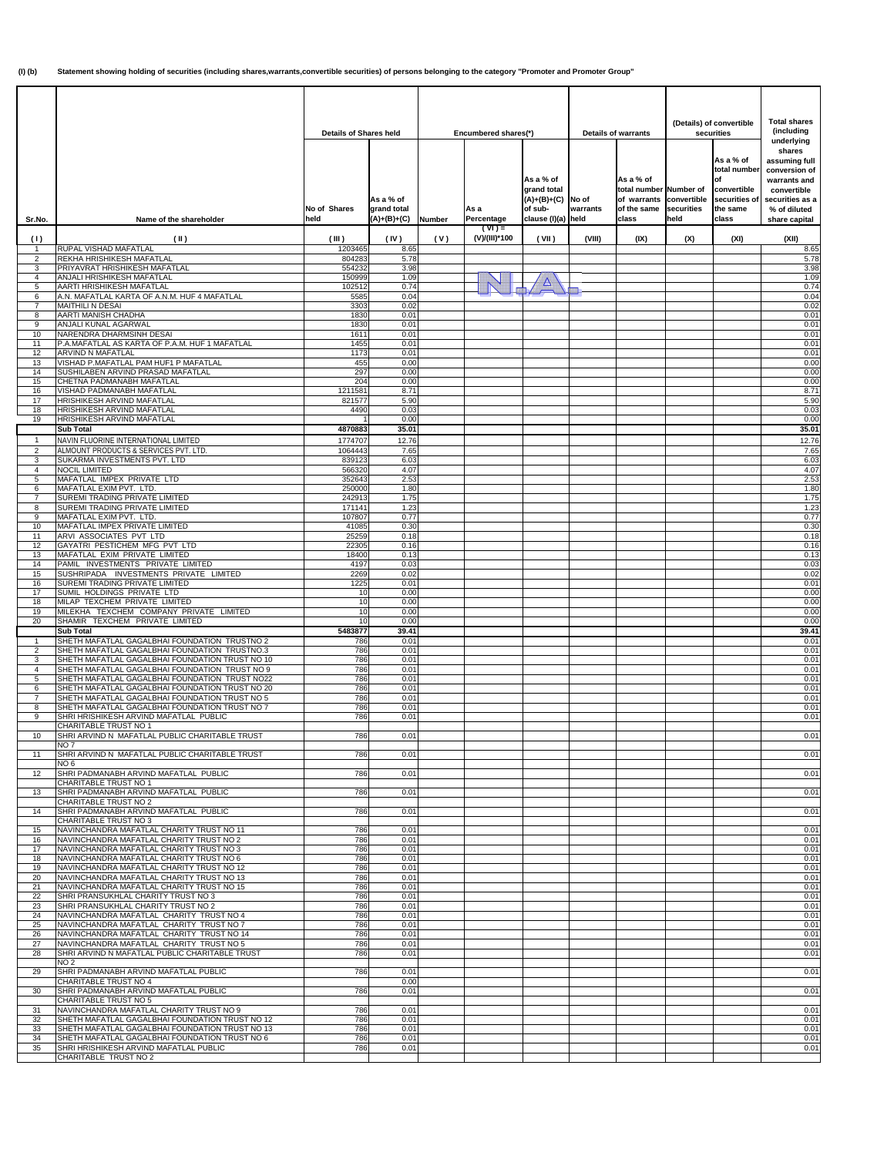|                      |                                                                                                   | <b>Details of Shares held</b> |                                           |        |                           | Encumbered shares(*)<br><b>Details of warrants</b>                         |                   | (Details) of convertible<br>securities                                                 |                    |                                                                                       | <b>Total shares</b><br>(including                                                                                                         |  |
|----------------------|---------------------------------------------------------------------------------------------------|-------------------------------|-------------------------------------------|--------|---------------------------|----------------------------------------------------------------------------|-------------------|----------------------------------------------------------------------------------------|--------------------|---------------------------------------------------------------------------------------|-------------------------------------------------------------------------------------------------------------------------------------------|--|
| Sr.No.               | Name of the shareholder                                                                           | No of Shares<br>held          | As a % of<br>grand total<br>$(A)+(B)+(C)$ | Number | As a<br>Percentage        | As a % of<br>grand total<br>$(A)+(B)+(C)$<br>of sub-<br>clause (I)(a) held | No of<br>warrants | As a % of<br>total number Number of<br>of warrants convertible<br>of the same<br>class | securities<br>held | As a % of<br>total number<br>lof<br>convertible<br>securities of<br>the same<br>class | underlying<br>shares<br>assuming full<br>conversion of<br>warrants and<br>convertible<br>securities as a<br>% of diluted<br>share capital |  |
| (1)                  | $(\parallel)$                                                                                     | (III)                         | (IV)                                      | (V)    | $(VI) =$<br>(V)/(III)*100 | (VII)                                                                      | (VIII)            | (IX)                                                                                   | (X)                | (XI)                                                                                  | (XII)                                                                                                                                     |  |
| 2                    | <b>RUPAL VISHAD MAFATLAL</b><br>REKHA HRISHIKESH MAFATLAL                                         | 1203465<br>804283             | 8.65<br>5.78                              |        |                           |                                                                            |                   |                                                                                        |                    |                                                                                       | 8.65<br>5.78                                                                                                                              |  |
| 3                    | PRIYAVRAT HRISHIKESH MAFATLAL                                                                     | 554232                        | 3.98                                      |        |                           |                                                                            |                   |                                                                                        |                    |                                                                                       | 3.98                                                                                                                                      |  |
| 4<br>5               | ANJALI HRISHIKESH MAFATLAL<br>AARTI HRISHIKESH MAFATLAL                                           | 150999<br>102512              | 1.09<br>0.74                              |        |                           | Δ                                                                          |                   |                                                                                        |                    |                                                                                       | 1.09<br>0.74                                                                                                                              |  |
| 6<br>$\overline{7}$  | A.N. MAFATLAL KARTA OF A.N.M. HUF 4 MAFATLAL                                                      | 5585                          | 0.04                                      |        |                           |                                                                            |                   |                                                                                        |                    |                                                                                       | 0.04                                                                                                                                      |  |
| 8                    | MAITHILI N DESAI<br>AARTI MANISH CHADHA                                                           | 3303<br>1830                  | 0.02<br>0.01                              |        |                           |                                                                            |                   |                                                                                        |                    |                                                                                       | 0.02<br>0.01                                                                                                                              |  |
| 9<br>10              | ANJALI KUNAL AGARWAL<br>NARENDRA DHARMSINH DESAI                                                  | 1830<br>1611                  | 0.01<br>0.01                              |        |                           |                                                                            |                   |                                                                                        |                    |                                                                                       | 0.01<br>0.01                                                                                                                              |  |
| 11                   | P.A.MAFATLAL AS KARTA OF P.A.M. HUF 1 MAFATLAL                                                    | 1455                          | 0.01                                      |        |                           |                                                                            |                   |                                                                                        |                    |                                                                                       | 0.01                                                                                                                                      |  |
| 12<br>13             | ARVIND N MAFATLAL<br>VISHAD P.MAFATLAL PAM HUF1 P MAFATLAL                                        | 1173<br>455                   | 0.01<br>0.00                              |        |                           |                                                                            |                   |                                                                                        |                    |                                                                                       | 0.01<br>0.00                                                                                                                              |  |
| 14                   | SUSHILABEN ARVIND PRASAD MAFATLAL                                                                 | 297                           | 0.00                                      |        |                           |                                                                            |                   |                                                                                        |                    |                                                                                       | 0.00                                                                                                                                      |  |
| 15<br>16             | CHETNA PADMANABH MAFATLAL<br>VISHAD PADMANABH MAFATLAL                                            | 204<br>1211581                | 0.00<br>8.71                              |        |                           |                                                                            |                   |                                                                                        |                    |                                                                                       | 0.00<br>8.71                                                                                                                              |  |
| 17                   | HRISHIKESH ARVIND MAFATLAL                                                                        | 821577                        | 5.90                                      |        |                           |                                                                            |                   |                                                                                        |                    |                                                                                       | 5.90                                                                                                                                      |  |
| 18<br>19             | HRISHIKESH ARVIND MAFATLAL<br>HRISHIKESH ARVIND MAFATLAL                                          | 4490                          | 0.03<br>0.00                              |        |                           |                                                                            |                   |                                                                                        |                    |                                                                                       | 0.03<br>0.00                                                                                                                              |  |
|                      | <b>Sub Total</b>                                                                                  | 4870883                       | 35.01                                     |        |                           |                                                                            |                   |                                                                                        |                    |                                                                                       | 35.01                                                                                                                                     |  |
| -1<br>$\overline{2}$ | NAVIN FLUORINE INTERNATIONAL LIMITED<br>ALMOUNT PRODUCTS & SERVICES PVT. LTD.                     | 1774707<br>1064443            | 12.76<br>7.65                             |        |                           |                                                                            |                   |                                                                                        |                    |                                                                                       | 12.76<br>7.65                                                                                                                             |  |
| 3                    | SUKARMA INVESTMENTS PVT. LTD                                                                      | 839123                        | 6.03                                      |        |                           |                                                                            |                   |                                                                                        |                    |                                                                                       | 6.03                                                                                                                                      |  |
| 4<br>5               | <b>NOCIL LIMITED</b><br>MAFATLAL IMPEX PRIVATE LTD                                                | 566320<br>352643              | 4.07<br>2.53                              |        |                           |                                                                            |                   |                                                                                        |                    |                                                                                       | 4.07<br>2.53                                                                                                                              |  |
| 6                    | MAFATLAL EXIM PVT. LTD.                                                                           | 250000<br>242913              | 1.80                                      |        |                           |                                                                            |                   |                                                                                        |                    |                                                                                       | 1.80<br>1.75                                                                                                                              |  |
| 7<br>8               | SUREMI TRADING PRIVATE LIMITED<br>SUREMI TRADING PRIVATE LIMITED                                  | 171141                        | 1.75<br>1.23                              |        |                           |                                                                            |                   |                                                                                        |                    |                                                                                       | 1.23                                                                                                                                      |  |
| 9<br>10              | MAFATLAL EXIM PVT. LTD.<br>MAFATLAL IMPEX PRIVATE LIMITED                                         | 107807<br>41085               | 0.77<br>0.30                              |        |                           |                                                                            |                   |                                                                                        |                    |                                                                                       | 0.77<br>0.30                                                                                                                              |  |
| 11                   | ARVI ASSOCIATES PVT LTD                                                                           | 25259                         | 0.18                                      |        |                           |                                                                            |                   |                                                                                        |                    |                                                                                       | 0.18                                                                                                                                      |  |
| 12<br>13             | GAYATRI PESTICHEM MFG PVT LTD<br>MAFATLAL EXIM PRIVATE LIMITED                                    | 22305<br>18400                | 0.16<br>0.13                              |        |                           |                                                                            |                   |                                                                                        |                    |                                                                                       | 0.16<br>0.13                                                                                                                              |  |
| 14                   | PAMIL INVESTMENTS PRIVATE LIMITED                                                                 | 4197                          | 0.03                                      |        |                           |                                                                            |                   |                                                                                        |                    |                                                                                       | 0.03                                                                                                                                      |  |
| 15<br>16             | SUSHRIPADA INVESTMENTS PRIVATE LIMITED<br>SUREMI TRADING PRIVATE LIMITED                          | 2269<br>1225                  | 0.02<br>0.01                              |        |                           |                                                                            |                   |                                                                                        |                    |                                                                                       | 0.02<br>0.01                                                                                                                              |  |
| 17<br>18             | SUMIL HOLDINGS PRIVATE LTD<br>MILAP TEXCHEM PRIVATE LIMITED                                       | 10<br>10                      | 0.00<br>0.00                              |        |                           |                                                                            |                   |                                                                                        |                    |                                                                                       | 0.00<br>0.00                                                                                                                              |  |
| 19                   | MILEKHA TEXCHEM COMPANY PRIVATE LIMITED                                                           | 10                            | 0.00                                      |        |                           |                                                                            |                   |                                                                                        |                    |                                                                                       | 0.00                                                                                                                                      |  |
| 20                   | SHAMIR TEXCHEM PRIVATE LIMITED<br>Sub Total                                                       | 10<br>5483877                 | 0.00<br>39.41                             |        |                           |                                                                            |                   |                                                                                        |                    |                                                                                       | 0.00<br>39.41                                                                                                                             |  |
| 1                    | SHETH MAFATLAL GAGALBHAI FOUNDATION TRUSTNO 2                                                     | 786                           | 0.01                                      |        |                           |                                                                            |                   |                                                                                        |                    |                                                                                       | 0.01                                                                                                                                      |  |
| 2<br>3               | SHETH MAFATLAL GAGALBHAI FOUNDATION TRUSTNO.3<br>SHETH MAFATLAL GAGALBHAI FOUNDATION TRUST NO 10  | 786<br>786                    | 0.01<br>0.01                              |        |                           |                                                                            |                   |                                                                                        |                    |                                                                                       | 0.01<br>0.01                                                                                                                              |  |
| $\overline{4}$<br>5  | SHETH MAFATLAL GAGALBHAI FOUNDATION TRUST NO 9<br>SHETH MAFATLAL GAGALBHAI FOUNDATION TRUST NO22  | 786<br>786                    | 0.01<br>0.01                              |        |                           |                                                                            |                   |                                                                                        |                    |                                                                                       | 0.01<br>0.01                                                                                                                              |  |
| 6                    | SHETH MAFATLAL GAGALBHAI FOUNDATION TRUST NO 20                                                   | 786                           | 0.01                                      |        |                           |                                                                            |                   |                                                                                        |                    |                                                                                       | 0.01                                                                                                                                      |  |
| 8                    | SHETH MAFATLAL GAGALBHAI FOUNDATION TRUST NO 5<br>SHETH MAFATLAL GAGALBHAI FOUNDATION TRUST NO 7  | 786<br>786                    | 0.01<br>0.01                              |        |                           |                                                                            |                   |                                                                                        |                    |                                                                                       | 0.01<br>0.01                                                                                                                              |  |
| 9                    | SHRI HRISHIKESH ARVIND MAFATLAL PUBLIC                                                            | 786                           | 0.01                                      |        |                           |                                                                            |                   |                                                                                        |                    |                                                                                       | 0.01                                                                                                                                      |  |
| 10                   | <b>CHARITABLE TRUST NO 1</b><br>SHRI ARVIND N MAFATLAL PUBLIC CHARITABLE TRUST                    | 786                           | 0.01                                      |        |                           |                                                                            |                   |                                                                                        |                    |                                                                                       | 0.01                                                                                                                                      |  |
|                      | NO <sub>7</sub>                                                                                   |                               |                                           |        |                           |                                                                            |                   |                                                                                        |                    |                                                                                       |                                                                                                                                           |  |
| 11                   | SHRI ARVIND N MAFATLAL PUBLIC CHARITABLE TRUST<br>NO 6                                            | 786                           | 0.01                                      |        |                           |                                                                            |                   |                                                                                        |                    |                                                                                       | 0.01                                                                                                                                      |  |
| 12                   | SHRI PADMANABH ARVIND MAFATLAL PUBLIC<br>CHARITABLE TRUST NO 1                                    | 786                           | 0.01                                      |        |                           |                                                                            |                   |                                                                                        |                    |                                                                                       | 0.01                                                                                                                                      |  |
| 13                   | SHRI PADMANABH ARVIND MAFATLAL PUBLIC                                                             | 786                           | 0.01                                      |        |                           |                                                                            |                   |                                                                                        |                    |                                                                                       | 0.01                                                                                                                                      |  |
| 14                   | CHARITABLE TRUST NO 2<br>SHRI PADMANABH ARVIND MAFATLAL PUBLIC                                    | 786                           | 0.01                                      |        |                           |                                                                            |                   |                                                                                        |                    |                                                                                       | 0.01                                                                                                                                      |  |
| 15                   | CHARITABLE TRUST NO 3<br>NAVINCHANDRA MAFATLAL CHARITY TRUST NO 11                                | 786                           | 0.01                                      |        |                           |                                                                            |                   |                                                                                        |                    |                                                                                       | 0.01                                                                                                                                      |  |
| 16                   | NAVINCHANDRA MAFATLAL CHARITY TRUST NO 2                                                          | 786                           | 0.01                                      |        |                           |                                                                            |                   |                                                                                        |                    |                                                                                       | 0.01                                                                                                                                      |  |
| 17<br>18             | NAVINCHANDRA MAFATLAL CHARITY TRUST NO 3<br>NAVINCHANDRA MAFATLAL CHARITY TRUST NO 6              | 786<br>786                    | 0.01<br>0.01                              |        |                           |                                                                            |                   |                                                                                        |                    |                                                                                       | 0.01<br>0.01                                                                                                                              |  |
| 19                   | NAVINCHANDRA MAFATLAL CHARITY TRUST NO 12                                                         | 786                           | 0.01                                      |        |                           |                                                                            |                   |                                                                                        |                    |                                                                                       | 0.01                                                                                                                                      |  |
| 20<br>21             | NAVINCHANDRA MAFATLAL CHARITY TRUST NO 13<br>NAVINCHANDRA MAFATLAL CHARITY TRUST NO 15            | 786<br>786                    | 0.01<br>0.01                              |        |                           |                                                                            |                   |                                                                                        |                    |                                                                                       | 0.01<br>0.01                                                                                                                              |  |
| 22                   | SHRI PRANSUKHLAL CHARITY TRUST NO 3<br>SHRI PRANSUKHLAL CHARITY TRUST NO 2                        | 786                           | 0.01                                      |        |                           |                                                                            |                   |                                                                                        |                    |                                                                                       | 0.01                                                                                                                                      |  |
| 23<br>24             | NAVINCHANDRA MAFATLAL CHARITY TRUST NO 4                                                          | 786<br>786                    | 0.01<br>0.01                              |        |                           |                                                                            |                   |                                                                                        |                    |                                                                                       | 0.01<br>0.01                                                                                                                              |  |
| 25<br>26             | NAVINCHANDRA MAFATLAL CHARITY TRUST NO 7<br>NAVINCHANDRA MAFATLAL CHARITY TRUST NO 14             | 786<br>786                    | 0.01<br>0.01                              |        |                           |                                                                            |                   |                                                                                        |                    |                                                                                       | 0.01<br>0.01                                                                                                                              |  |
| 27                   | NAVINCHANDRA MAFATLAL CHARITY TRUST NO 5                                                          | 786                           | 0.01                                      |        |                           |                                                                            |                   |                                                                                        |                    |                                                                                       | 0.01                                                                                                                                      |  |
| 28                   | SHRI ARVIND N MAFATLAL PUBLIC CHARITABLE TRUST<br><b>NO2</b>                                      | 786                           | 0.01                                      |        |                           |                                                                            |                   |                                                                                        |                    |                                                                                       | 0.01                                                                                                                                      |  |
| 29                   | SHRI PADMANABH ARVIND MAFATLAL PUBLIC                                                             | 786                           | 0.01                                      |        |                           |                                                                            |                   |                                                                                        |                    |                                                                                       | 0.01                                                                                                                                      |  |
| 30                   | CHARITABLE TRUST NO 4<br>SHRI PADMANABH ARVIND MAFATLAL PUBLIC                                    | 786                           | 0.00<br>0.01                              |        |                           |                                                                            |                   |                                                                                        |                    |                                                                                       | 0.01                                                                                                                                      |  |
| 31                   | CHARITABLE TRUST NO 5<br>NAVINCHANDRA MAFATLAL CHARITY TRUST NO 9                                 | 786                           | 0.01                                      |        |                           |                                                                            |                   |                                                                                        |                    |                                                                                       | 0.01                                                                                                                                      |  |
| 32                   | SHETH MAFATLAL GAGALBHAI FOUNDATION TRUST NO 12                                                   | 786                           | 0.01                                      |        |                           |                                                                            |                   |                                                                                        |                    |                                                                                       | 0.01                                                                                                                                      |  |
| 33<br>34             | SHETH MAFATLAL GAGALBHAI FOUNDATION TRUST NO 13<br>SHETH MAFATLAL GAGALBHAI FOUNDATION TRUST NO 6 | 786<br>786                    | 0.01<br>0.01                              |        |                           |                                                                            |                   |                                                                                        |                    |                                                                                       | 0.01<br>0.01                                                                                                                              |  |
| 35                   | SHRI HRISHIKESH ARVIND MAFATLAL PUBLIC                                                            | 786                           | 0.01                                      |        |                           |                                                                            |                   |                                                                                        |                    |                                                                                       | 0.01                                                                                                                                      |  |
|                      | CHARITABLE TRUST NO 2                                                                             |                               |                                           |        |                           |                                                                            |                   |                                                                                        |                    |                                                                                       |                                                                                                                                           |  |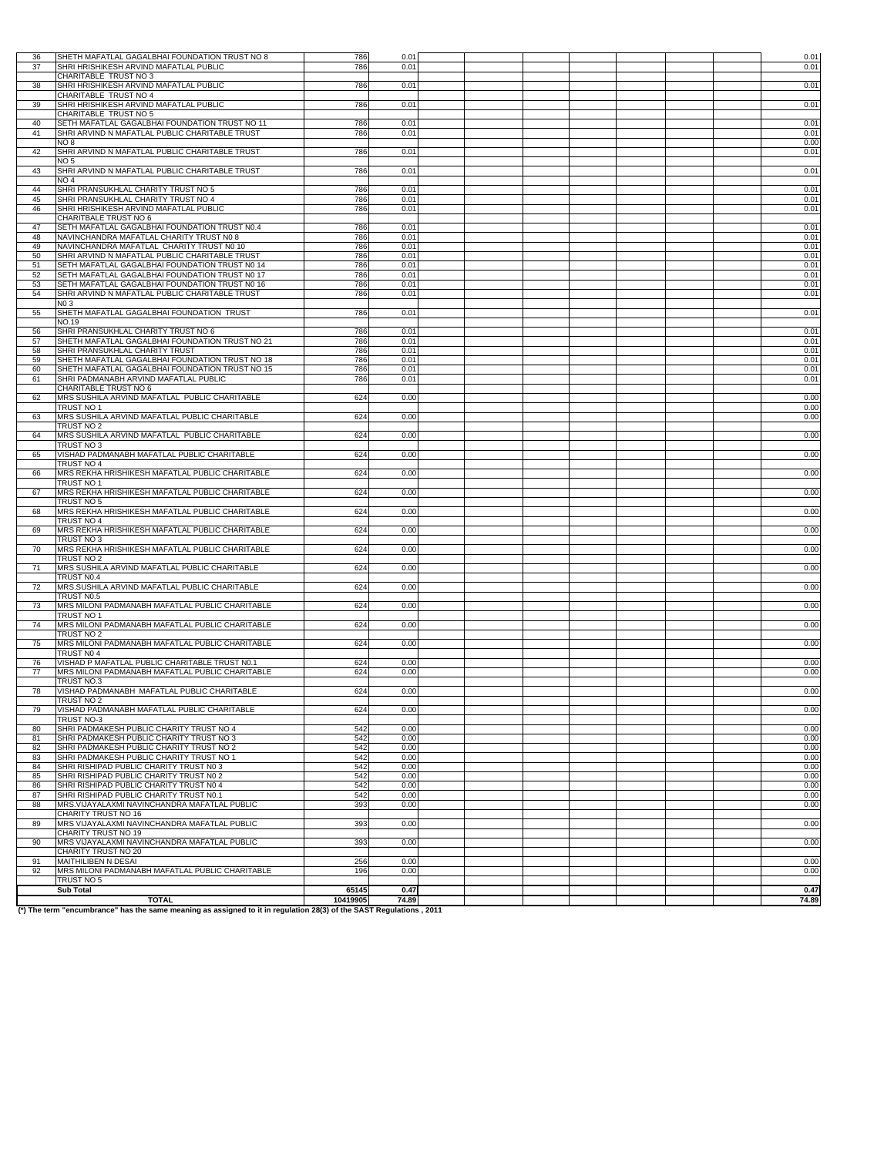| 36       | SHETH MAFATLAL GAGALBHAI FOUNDATION TRUST NO 8                                                                      | 786        | 0.01         |  |  |  | 0.01         |
|----------|---------------------------------------------------------------------------------------------------------------------|------------|--------------|--|--|--|--------------|
| 37       | SHRI HRISHIKESH ARVIND MAFATLAL PUBLIC                                                                              | 786        | 0.01         |  |  |  | 0.01         |
|          | CHARITABLE TRUST NO 3                                                                                               |            |              |  |  |  |              |
| 38       | SHRI HRISHIKESH ARVIND MAFATLAL PUBLIC<br>CHARITABLE TRUST NO 4                                                     | 786        | 0.01         |  |  |  | 0.01         |
| 39       | SHRI HRISHIKESH ARVIND MAFATLAL PUBLIC                                                                              | 786        | 0.01         |  |  |  | 0.01         |
|          | CHARITABLE TRUST NO 5                                                                                               |            |              |  |  |  |              |
| 40       | SETH MAFATLAL GAGALBHAI FOUNDATION TRUST NO 11                                                                      | 786        | 0.01         |  |  |  | 0.01         |
| 41       | SHRI ARVIND N MAFATLAL PUBLIC CHARITABLE TRUST                                                                      | 786        | 0.01         |  |  |  | 0.01         |
| 42       | NO 8<br>SHRI ARVIND N MAFATLAL PUBLIC CHARITABLE TRUST                                                              | 786        | 0.01         |  |  |  | 0.00<br>0.01 |
|          | NO 5                                                                                                                |            |              |  |  |  |              |
| 43       | SHRI ARVIND N MAFATLAL PUBLIC CHARITABLE TRUST                                                                      | 786        | 0.01         |  |  |  | 0.01         |
|          | NO <sub>4</sub>                                                                                                     |            |              |  |  |  |              |
| 44       | SHRI PRANSUKHLAL CHARITY TRUST NO 5<br>SHRI PRANSUKHLAL CHARITY TRUST NO 4                                          | 786        | 0.01         |  |  |  | 0.01         |
| 45<br>46 | SHRI HRISHIKESH ARVIND MAFATLAL PUBLIC                                                                              | 786<br>786 | 0.01<br>0.01 |  |  |  | 0.01<br>0.01 |
|          | CHARITBALE TRUST NO 6                                                                                               |            |              |  |  |  |              |
| 47       | SETH MAFATLAL GAGALBHAI FOUNDATION TRUST N0.4                                                                       | 786        | 0.01         |  |  |  | 0.01         |
| 48       | NAVINCHANDRA MAFATLAL CHARITY TRUST N0 8                                                                            | 786        | 0.01         |  |  |  | 0.01         |
| 49<br>50 | NAVINCHANDRA MAFATLAL CHARITY TRUST N0 10<br>SHRI ARVIND N MAFATLAL PUBLIC CHARITABLE TRUST                         | 786<br>786 | 0.01<br>0.01 |  |  |  | 0.01         |
| 51       | SETH MAFATLAL GAGALBHAI FOUNDATION TRUST N0 14                                                                      | 786        | 0.01         |  |  |  | 0.01<br>0.01 |
| 52       | SETH MAFATLAL GAGALBHAI FOUNDATION TRUST N0 17                                                                      | 786        | 0.01         |  |  |  | 0.01         |
| 53       | SETH MAFATLAL GAGALBHAI FOUNDATION TRUST N0 16                                                                      | 786        | 0.01         |  |  |  | 0.01         |
| 54       | SHRI ARVIND N MAFATLAL PUBLIC CHARITABLE TRUST                                                                      | 786        | 0.01         |  |  |  | 0.01         |
| 55       | NO 3<br>SHETH MAFATLAL GAGALBHAI FOUNDATION TRUST                                                                   | 786        | 0.01         |  |  |  | 0.01         |
|          | NO.19                                                                                                               |            |              |  |  |  |              |
| 56       | SHRI PRANSUKHLAL CHARITY TRUST NO 6                                                                                 | 786        | 0.01         |  |  |  | 0.01         |
| 57       | SHETH MAFATLAL GAGALBHAI FOUNDATION TRUST NO 21                                                                     | 786        | 0.01         |  |  |  | 0.01         |
| 58       | SHRI PRANSUKHLAL CHARITY TRUST                                                                                      | 786        | 0.01         |  |  |  | 0.01         |
| 59<br>60 | SHETH MAFATLAL GAGALBHAI FOUNDATION TRUST NO 18<br>SHETH MAFATLAL GAGALBHAI FOUNDATION TRUST NO 15                  | 786<br>786 | 0.01<br>0.01 |  |  |  | 0.01<br>0.01 |
| 61       | SHRI PADMANABH ARVIND MAFATLAL PUBLIC                                                                               | 786        | 0.01         |  |  |  | 0.01         |
|          | CHARITABLE TRUST NO 6                                                                                               |            |              |  |  |  |              |
| 62       | MRS SUSHILA ARVIND MAFATLAL PUBLIC CHARITABLE                                                                       | 624        | 0.00         |  |  |  | 0.00         |
| 63       | TRUST NO 1<br>MRS SUSHILA ARVIND MAFATLAL PUBLIC CHARITABLE                                                         | 624        | 0.00         |  |  |  | 0.00<br>0.00 |
|          | TRUST NO 2                                                                                                          |            |              |  |  |  |              |
| 64       | MRS SUSHILA ARVIND MAFATLAL PUBLIC CHARITABLE                                                                       | 624        | 0.00         |  |  |  | 0.00         |
|          | TRUST NO 3                                                                                                          |            |              |  |  |  |              |
| 65       | VISHAD PADMANABH MAFATLAL PUBLIC CHARITABLE                                                                         | 624        | 0.00         |  |  |  | 0.00         |
| 66       | TRUST NO 4<br>MRS REKHA HRISHIKESH MAFATLAL PUBLIC CHARITABLE                                                       | 624        | 0.00         |  |  |  | 0.00         |
|          | TRUST NO 1                                                                                                          |            |              |  |  |  |              |
| 67       | MRS REKHA HRISHIKESH MAFATLAL PUBLIC CHARITABLE                                                                     | 624        | 0.00         |  |  |  | 0.00         |
|          | TRUST NO 5                                                                                                          |            |              |  |  |  |              |
| 68       | MRS REKHA HRISHIKESH MAFATLAL PUBLIC CHARITABLE<br>TRUST NO 4                                                       | 624        | 0.00         |  |  |  | 0.00         |
| 69       | MRS REKHA HRISHIKESH MAFATLAL PUBLIC CHARITABLE                                                                     | 624        | 0.00         |  |  |  | 0.00         |
|          | TRUST NO 3                                                                                                          |            |              |  |  |  |              |
| 70       | MRS REKHA HRISHIKESH MAFATLAL PUBLIC CHARITABLE                                                                     | 624        | 0.00         |  |  |  | 0.00         |
|          | TRUST NO 2                                                                                                          |            |              |  |  |  |              |
| 71       | MRS SUSHILA ARVIND MAFATLAL PUBLIC CHARITABLE<br>TRUST N0.4                                                         | 624        | 0.00         |  |  |  | 0.00         |
| 72       | MRS.SUSHILA ARVIND MAFATLAL PUBLIC CHARITABLE                                                                       | 624        | 0.00         |  |  |  | 0.00         |
|          | TRUST N0.5                                                                                                          |            |              |  |  |  |              |
| 73       | MRS MILONI PADMANABH MAFATLAL PUBLIC CHARITABLE                                                                     | 624        | 0.00         |  |  |  | 0.00         |
|          | TRUST NO 1                                                                                                          |            |              |  |  |  |              |
| 74       | MRS MILONI PADMANABH MAFATLAL PUBLIC CHARITABLE<br>TRUST NO 2                                                       | 624        | 0.00         |  |  |  | 0.00         |
| 75       | MRS MILONI PADMANABH MAFATLAL PUBLIC CHARITABLE                                                                     | 624        | 0.00         |  |  |  | 0.00         |
|          | TRUST NO 4                                                                                                          |            |              |  |  |  |              |
| 76       | VISHAD P MAFATLAL PUBLIC CHARITABLE TRUST NO.1                                                                      | 624        | 0.00         |  |  |  | 0.00         |
| 77       | MRS MILONI PADMANABH MAFATLAL PUBLIC CHARITABLE<br>TRUST NO.3                                                       | 624        | 0.00         |  |  |  | 0.00         |
| 78       | VISHAD PADMANABH MAFATLAL PUBLIC CHARITABLE                                                                         | 624        | 0.00         |  |  |  | 0.00         |
|          | TRUST NO 2                                                                                                          |            |              |  |  |  |              |
| 79       | VISHAD PADMANABH MAFATLAL PUBLIC CHARITABLE                                                                         | 624        | 0.00         |  |  |  | 0.00         |
| 80       | TRUST NO-3<br>SHRI PADMAKESH PUBLIC CHARITY TRUST NO 4                                                              | 542        | 0.00         |  |  |  | 0.00         |
| 81       | SHRI PADMAKESH PUBLIC CHARITY TRUST NO 3                                                                            | 542        | 0.00         |  |  |  | 0.00         |
| 82       | SHRI PADMAKESH PUBLIC CHARITY TRUST NO 2                                                                            | 542        | 0.00         |  |  |  | 0.00         |
| 83       | SHRI PADMAKESH PUBLIC CHARITY TRUST NO 1                                                                            | 542        | 0.00         |  |  |  | 0.00         |
| 84       | SHRI RISHIPAD PUBLIC CHARITY TRUST NO 3                                                                             | 542        | 0.00         |  |  |  | 0.00         |
| 85<br>86 | SHRI RISHIPAD PUBLIC CHARITY TRUST NO 2<br>SHRI RISHIPAD PUBLIC CHARITY TRUST N0 4                                  | 542<br>542 | 0.00<br>0.00 |  |  |  | 0.00<br>0.00 |
| 87       | SHRI RISHIPAD PUBLIC CHARITY TRUST N0.1                                                                             | 542        | 0.00         |  |  |  | 0.00         |
| 88       | MRS. VIJAYALAXMI NAVINCHANDRA MAFATLAL PUBLIC                                                                       | 393        | 0.00         |  |  |  | 0.00         |
|          | CHARITY TRUST NO 16                                                                                                 |            |              |  |  |  |              |
| 89       | MRS VIJAYALAXMI NAVINCHANDRA MAFATLAL PUBLIC<br>CHARITY TRUST NO 19                                                 | 393        | 0.00         |  |  |  | 0.00         |
| 90       | MRS VIJAYALAXMI NAVINCHANDRA MAFATLAL PUBLIC                                                                        | 393        | 0.00         |  |  |  | 0.00         |
|          | CHARITY TRUST NO 20                                                                                                 |            |              |  |  |  |              |
| 91       | MAITHILIBEN N DESAI                                                                                                 | 256        | 0.00         |  |  |  | 0.00         |
| 92       | MRS MILONI PADMANABH MAFATLAL PUBLIC CHARITABLE                                                                     | 196        | 0.00         |  |  |  | 0.00         |
|          | TRUST NO 5<br><b>Sub Total</b>                                                                                      | 65145      | 0.47         |  |  |  | 0.47         |
|          | <b>TOTAL</b>                                                                                                        | 10419905   | 74.89        |  |  |  | 74.89        |
|          | (*) The term "encumbrance" has the same meaning as assigned to it in regulation 28(3) of the SAST Regulations, 2011 |            |              |  |  |  |              |